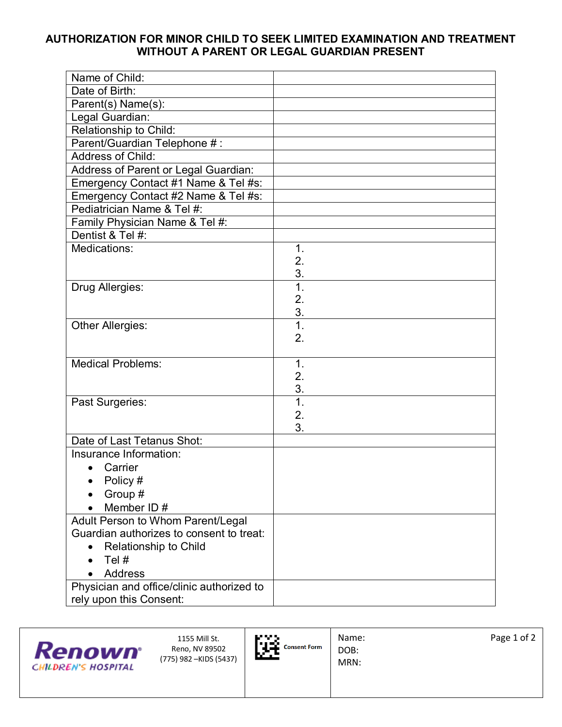## **AUTHORIZATION FOR MINOR CHILD TO SEEK LIMITED EXAMINATION AND TREATMENT WITHOUT A PARENT OR LEGAL GUARDIAN PRESENT**

| Name of Child:                            |               |
|-------------------------------------------|---------------|
| Date of Birth:                            |               |
| Parent(s) Name(s):                        |               |
| Legal Guardian:                           |               |
| Relationship to Child:                    |               |
| Parent/Guardian Telephone #:              |               |
| Address of Child:                         |               |
| Address of Parent or Legal Guardian:      |               |
| Emergency Contact #1 Name & Tel #s:       |               |
| Emergency Contact #2 Name & Tel #s:       |               |
| Pediatrician Name & Tel #:                |               |
| Family Physician Name & Tel #:            |               |
| Dentist & Tel #:                          |               |
| Medications:                              | 1.            |
|                                           | 2.            |
|                                           | 3.            |
| Drug Allergies:                           | 1.            |
|                                           | 2.            |
|                                           | 3.            |
| Other Allergies:                          | 1.            |
|                                           | 2.            |
| <b>Medical Problems:</b>                  | $\mathbf 1$ . |
|                                           | 2.            |
|                                           | 3.            |
| Past Surgeries:                           | 1.            |
|                                           | 2.            |
|                                           | 3.            |
| Date of Last Tetanus Shot:                |               |
| Insurance Information:                    |               |
| Carrier                                   |               |
| Policy #                                  |               |
| Group #                                   |               |
| Member ID#                                |               |
| Adult Person to Whom Parent/Legal         |               |
| Guardian authorizes to consent to treat:  |               |
| Relationship to Child                     |               |
| Tel #                                     |               |
| <b>Address</b>                            |               |
| Physician and office/clinic authorized to |               |
| rely upon this Consent:                   |               |

| <b>Kenown</b><br><b>CHILDREN'S HOSPITAL</b> | 1155 Mill St.<br>Reno, NV 89502<br>(775) 982 –KIDS (5437) | <b>MANA</b><br>lu se<br><b>Consent Form</b><br>625. | Name:<br>DOB:<br>MRN: | Page 1 of 2 |
|---------------------------------------------|-----------------------------------------------------------|-----------------------------------------------------|-----------------------|-------------|
|---------------------------------------------|-----------------------------------------------------------|-----------------------------------------------------|-----------------------|-------------|